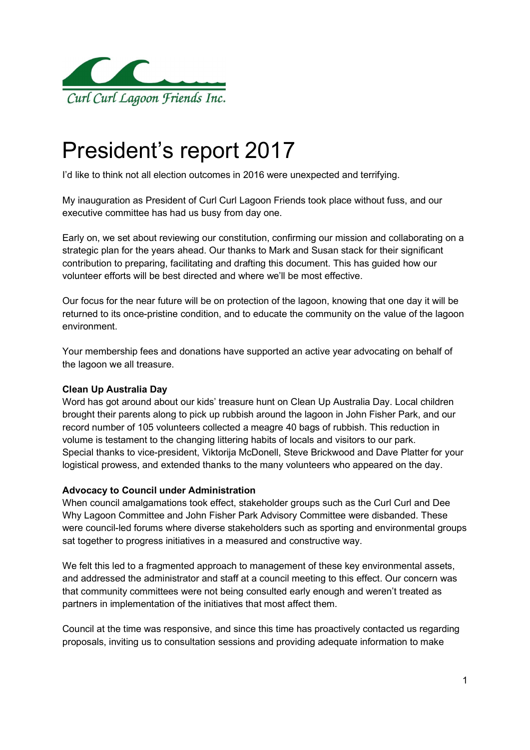

# President's report 2017

I'd like to think not all election outcomes in 2016 were unexpected and terrifying.

My inauguration as President of Curl Curl Lagoon Friends took place without fuss, and our executive committee has had us busy from day one.

Early on, we set about reviewing our constitution, confirming our mission and collaborating on a strategic plan for the years ahead. Our thanks to Mark and Susan stack for their significant contribution to preparing, facilitating and drafting this document. This has guided how our volunteer efforts will be best directed and where we'll be most effective.

Our focus for the near future will be on protection of the lagoon, knowing that one day it will be returned to its once-pristine condition, and to educate the community on the value of the lagoon environment.

Your membership fees and donations have supported an active year advocating on behalf of the lagoon we all treasure.

## Clean Up Australia Day

Word has got around about our kids' treasure hunt on Clean Up Australia Day. Local children brought their parents along to pick up rubbish around the lagoon in John Fisher Park, and our record number of 105 volunteers collected a meagre 40 bags of rubbish. This reduction in volume is testament to the changing littering habits of locals and visitors to our park. Special thanks to vice-president, Viktorija McDonell, Steve Brickwood and Dave Platter for your logistical prowess, and extended thanks to the many volunteers who appeared on the day.

## Advocacy to Council under Administration

When council amalgamations took effect, stakeholder groups such as the Curl Curl and Dee Why Lagoon Committee and John Fisher Park Advisory Committee were disbanded. These were council-led forums where diverse stakeholders such as sporting and environmental groups sat together to progress initiatives in a measured and constructive way.

We felt this led to a fragmented approach to management of these key environmental assets, and addressed the administrator and staff at a council meeting to this effect. Our concern was that community committees were not being consulted early enough and weren't treated as partners in implementation of the initiatives that most affect them.

Council at the time was responsive, and since this time has proactively contacted us regarding proposals, inviting us to consultation sessions and providing adequate information to make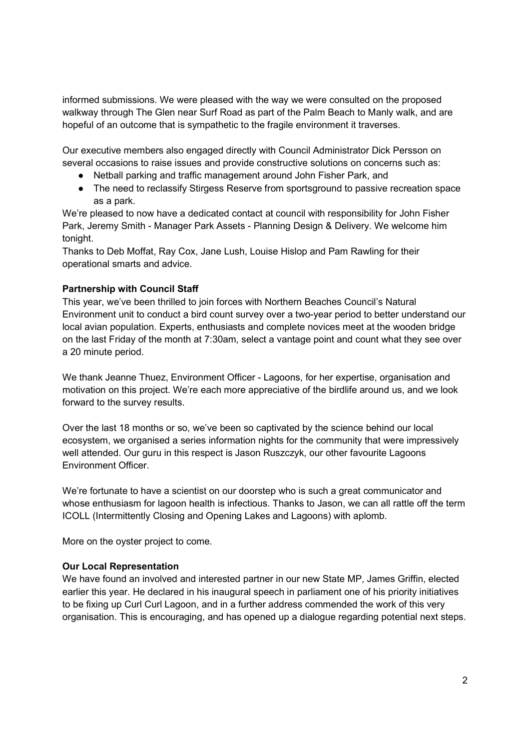informed submissions. We were pleased with the way we were consulted on the proposed walkway through The Glen near Surf Road as part of the Palm Beach to Manly walk, and are hopeful of an outcome that is sympathetic to the fragile environment it traverses.

Our executive members also engaged directly with Council Administrator Dick Persson on several occasions to raise issues and provide constructive solutions on concerns such as:

- Netball parking and traffic management around John Fisher Park, and
- The need to reclassify Stirgess Reserve from sportsground to passive recreation space as a park.

We're pleased to now have a dedicated contact at council with responsibility for John Fisher Park, Jeremy Smith - Manager Park Assets - Planning Design & Delivery. We welcome him tonight.

Thanks to Deb Moffat, Ray Cox, Jane Lush, Louise Hislop and Pam Rawling for their operational smarts and advice.

## Partnership with Council Staff

This year, we've been thrilled to join forces with Northern Beaches Council's Natural Environment unit to conduct a bird count survey over a two-year period to better understand our local avian population. Experts, enthusiasts and complete novices meet at the wooden bridge on the last Friday of the month at 7:30am, select a vantage point and count what they see over a 20 minute period.

We thank Jeanne Thuez, Environment Officer - Lagoons, for her expertise, organisation and motivation on this project. We're each more appreciative of the birdlife around us, and we look forward to the survey results.

Over the last 18 months or so, we've been so captivated by the science behind our local ecosystem, we organised a series information nights for the community that were impressively well attended. Our guru in this respect is Jason Ruszczyk, our other favourite Lagoons Environment Officer.

We're fortunate to have a scientist on our doorstep who is such a great communicator and whose enthusiasm for lagoon health is infectious. Thanks to Jason, we can all rattle off the term ICOLL (Intermittently Closing and Opening Lakes and Lagoons) with aplomb.

More on the oyster project to come.

## Our Local Representation

We have found an involved and interested partner in our new State MP, James Griffin, elected earlier this year. He declared in his inaugural speech in parliament one of his priority initiatives to be fixing up Curl Curl Lagoon, and in a further address commended the work of this very organisation. This is encouraging, and has opened up a dialogue regarding potential next steps.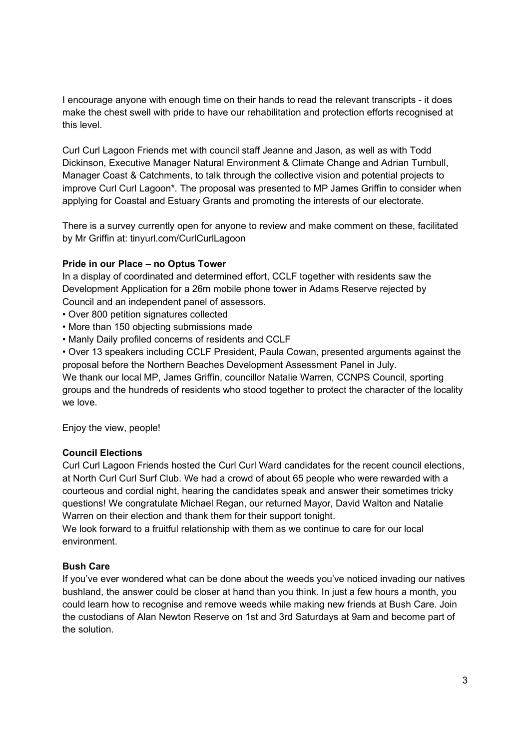I encourage anyone with enough time on their hands to read the relevant transcripts - it does make the chest swell with pride to have our rehabilitation and protection efforts recognised at this level.

Curl Curl Lagoon Friends met with council staff Jeanne and Jason, as well as with Todd Dickinson, Executive Manager Natural Environment & Climate Change and Adrian Turnbull, Manager Coast & Catchments, to talk through the collective vision and potential projects to improve Curl Curl Lagoon\*. The proposal was presented to MP James Griffin to consider when applying for Coastal and Estuary Grants and promoting the interests of our electorate.

There is a survey currently open for anyone to review and make comment on these, facilitated by Mr Griffin at: tinyurl.com/CurlCurlLagoon

## Pride in our Place – no Optus Tower

In a display of coordinated and determined effort, CCLF together with residents saw the Development Application for a 26m mobile phone tower in Adams Reserve rejected by Council and an independent panel of assessors.

- Over 800 petition signatures collected
- More than 150 objecting submissions made
- Manly Daily profiled concerns of residents and CCLF
- Over 13 speakers including CCLF President, Paula Cowan, presented arguments against the proposal before the Northern Beaches Development Assessment Panel in July.

We thank our local MP, James Griffin, councillor Natalie Warren, CCNPS Council, sporting groups and the hundreds of residents who stood together to protect the character of the locality we love.

Enjoy the view, people!

## Council Elections

Curl Curl Lagoon Friends hosted the Curl Curl Ward candidates for the recent council elections, at North Curl Curl Surf Club. We had a crowd of about 65 people who were rewarded with a courteous and cordial night, hearing the candidates speak and answer their sometimes tricky questions! We congratulate Michael Regan, our returned Mayor, David Walton and Natalie Warren on their election and thank them for their support tonight.

We look forward to a fruitful relationship with them as we continue to care for our local environment.

## Bush Care

If you've ever wondered what can be done about the weeds you've noticed invading our natives bushland, the answer could be closer at hand than you think. In just a few hours a month, you could learn how to recognise and remove weeds while making new friends at Bush Care. Join the custodians of Alan Newton Reserve on 1st and 3rd Saturdays at 9am and become part of the solution.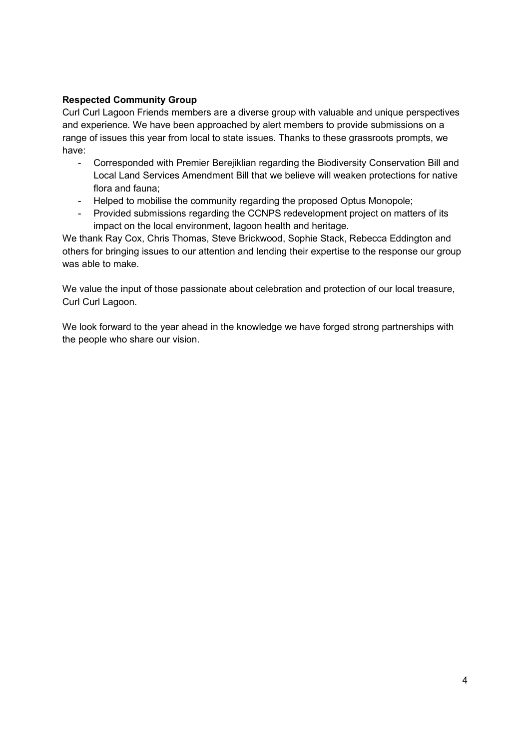## Respected Community Group

Curl Curl Lagoon Friends members are a diverse group with valuable and unique perspectives and experience. We have been approached by alert members to provide submissions on a range of issues this year from local to state issues. Thanks to these grassroots prompts, we have:

- Corresponded with Premier Berejiklian regarding the Biodiversity Conservation Bill and Local Land Services Amendment Bill that we believe will weaken protections for native flora and fauna;
- Helped to mobilise the community regarding the proposed Optus Monopole;
- Provided submissions regarding the CCNPS redevelopment project on matters of its impact on the local environment, lagoon health and heritage.

We thank Ray Cox, Chris Thomas, Steve Brickwood, Sophie Stack, Rebecca Eddington and others for bringing issues to our attention and lending their expertise to the response our group was able to make.

We value the input of those passionate about celebration and protection of our local treasure, Curl Curl Lagoon.

We look forward to the year ahead in the knowledge we have forged strong partnerships with the people who share our vision.